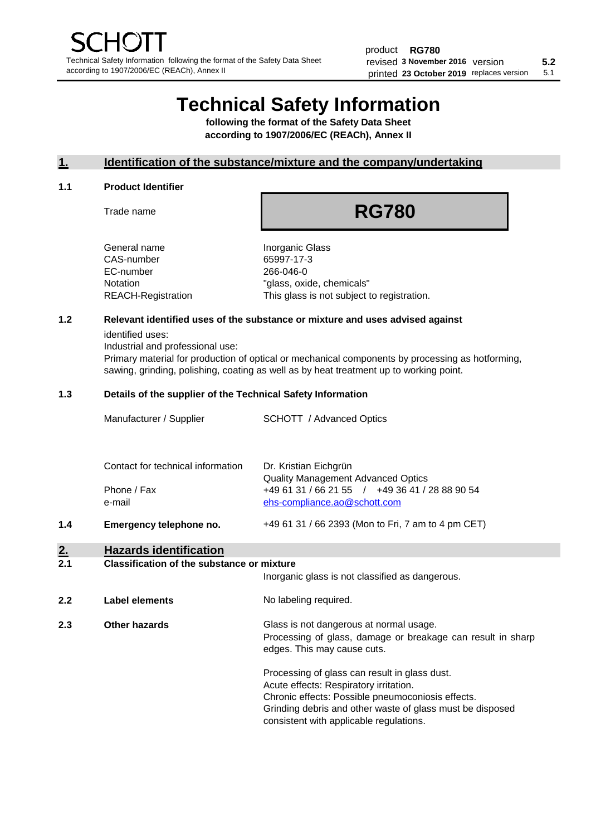# **Technical Safety Information**

**following the format of the Safety Data Sheet according to 1907/2006/EC (REACh), Annex II**

# **1. Identification of the substance/mixture and the company/undertaking**

#### **1.1 Product Identifier**

Trade name

# **RG780**

General name **Inorganic Glass** CAS-number 65997-17-3 EC-number 266-046-0

Notation "glass, oxide, chemicals" REACH-Registration This glass is not subject to registration.

## **1.2 Relevant identified uses of the substance or mixture and uses advised against**

identified uses:

Industrial and professional use:

Primary material for production of optical or mechanical components by processing as hotforming, sawing, grinding, polishing, coating as well as by heat treatment up to working point.

#### **1.3 Details of the supplier of the Technical Safety Information**

| Manufacturer / Supplier           | <b>SCHOTT</b> / Advanced Optics                                                |
|-----------------------------------|--------------------------------------------------------------------------------|
| Contact for technical information | Dr. Kristian Eichgrün<br><b>Quality Management Advanced Optics</b>             |
| Phone / Fax<br>e-mail             | +49 61 31 / 66 21 55 / +49 36 41 / 28 88 90 54<br>ehs-compliance.ao@schott.com |

**1.4 Emergency telephone no.** +49 61 31 / 66 2393 (Mon to Fri, 7 am to 4 pm CET)

## **2. Hazards identification**

#### **2.1 Classification of the substance or mixture**

Inorganic glass is not classified as dangerous.

**2.2 Label elements No labeling required.** 

**2.3 Other hazards Glass is not dangerous at normal usage.** Processing of glass, damage or breakage can result in sharp edges. This may cause cuts.

> Processing of glass can result in glass dust. Acute effects: Respiratory irritation. Chronic effects: Possible pneumoconiosis effects. Grinding debris and other waste of glass must be disposed consistent with applicable regulations.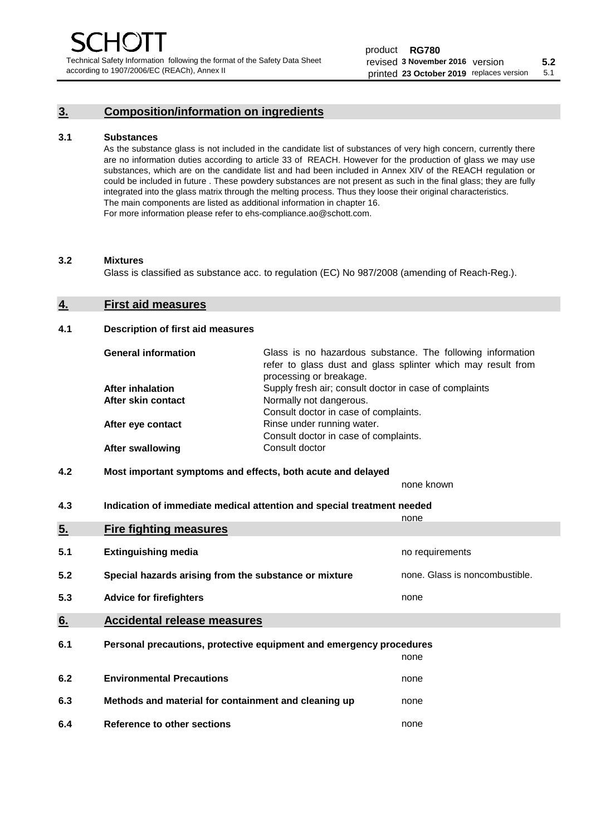# **3. Composition/information on ingredients**

#### **3.1 Substances**

As the substance glass is not included in the candidate list of substances of very high concern, currently there are no information duties according to article 33 of REACH. However for the production of glass we may use substances, which are on the candidate list and had been included in Annex XIV of the REACH regulation or could be included in future . These powdery substances are not present as such in the final glass; they are fully integrated into the glass matrix through the melting process. Thus they loose their original characteristics. The main components are listed as additional information in chapter 16. For more information please refer to ehs-compliance.ao@schott.com.

#### **3.2 Mixtures**

Glass is classified as substance acc. to regulation (EC) No 987/2008 (amending of Reach-Reg.).

#### **4. First aid measures**

#### **4.1 Description of first aid measures**

| <b>General information</b> | Glass is no hazardous substance. The following information<br>refer to glass dust and glass splinter which may result from<br>processing or breakage. |
|----------------------------|-------------------------------------------------------------------------------------------------------------------------------------------------------|
| <b>After inhalation</b>    | Supply fresh air; consult doctor in case of complaints                                                                                                |
| After skin contact         | Normally not dangerous.                                                                                                                               |
|                            | Consult doctor in case of complaints.                                                                                                                 |
| After eye contact          | Rinse under running water.                                                                                                                            |
|                            | Consult doctor in case of complaints.                                                                                                                 |
| <b>After swallowing</b>    | Consult doctor                                                                                                                                        |

#### **4.2 Most important symptoms and effects, both acute and delayed**

none known

**4.3 Indication of immediate medical attention and special treatment needed** 

|     |                                                                     | none                           |
|-----|---------------------------------------------------------------------|--------------------------------|
| 5.  | <b>Fire fighting measures</b>                                       |                                |
| 5.1 | <b>Extinguishing media</b>                                          | no requirements                |
| 5.2 | Special hazards arising from the substance or mixture               | none. Glass is noncombustible. |
| 5.3 | <b>Advice for firefighters</b>                                      | none                           |
| 6.  | <b>Accidental release measures</b>                                  |                                |
| 6.1 | Personal precautions, protective equipment and emergency procedures |                                |
|     |                                                                     | none                           |
| 6.2 | <b>Environmental Precautions</b>                                    | none                           |
| 6.3 | Methods and material for containment and cleaning up                | none                           |
| 6.4 | Reference to other sections                                         | none                           |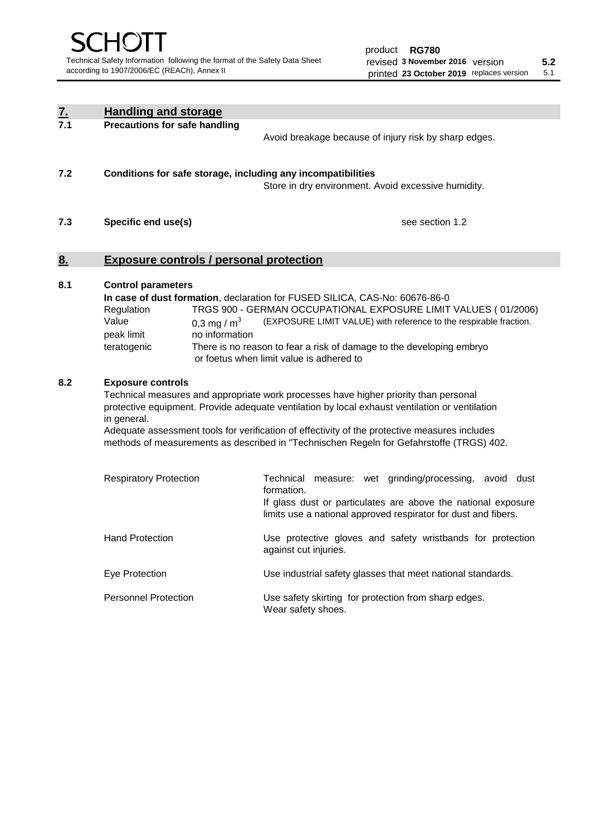| $\frac{7}{7.1}$ | <b>Handling and storage</b>                                                                                                                                                                                                                                                                                                                                                                                                    |                                                                                                                                                                                                                                                                                                                                        |  |  |
|-----------------|--------------------------------------------------------------------------------------------------------------------------------------------------------------------------------------------------------------------------------------------------------------------------------------------------------------------------------------------------------------------------------------------------------------------------------|----------------------------------------------------------------------------------------------------------------------------------------------------------------------------------------------------------------------------------------------------------------------------------------------------------------------------------------|--|--|
|                 | <b>Precautions for safe handling</b><br>Avoid breakage because of injury risk by sharp edges.                                                                                                                                                                                                                                                                                                                                  |                                                                                                                                                                                                                                                                                                                                        |  |  |
| 7.2             | Conditions for safe storage, including any incompatibilities<br>Store in dry environment. Avoid excessive humidity.                                                                                                                                                                                                                                                                                                            |                                                                                                                                                                                                                                                                                                                                        |  |  |
| 7.3             | see section 1.2<br>Specific end use(s)                                                                                                                                                                                                                                                                                                                                                                                         |                                                                                                                                                                                                                                                                                                                                        |  |  |
| 8.              | <b>Exposure controls / personal protection</b>                                                                                                                                                                                                                                                                                                                                                                                 |                                                                                                                                                                                                                                                                                                                                        |  |  |
| 8.1             | <b>Control parameters</b><br>Regulation<br>Value<br>0,3 mg / $m3$<br>peak limit<br>no information<br>teratogenic                                                                                                                                                                                                                                                                                                               | In case of dust formation, declaration for FUSED SILICA, CAS-No: 60676-86-0<br>TRGS 900 - GERMAN OCCUPATIONAL EXPOSURE LIMIT VALUES (01/2006)<br>(EXPOSURE LIMIT VALUE) with reference to the respirable fraction.<br>There is no reason to fear a risk of damage to the developing embryo<br>or foetus when limit value is adhered to |  |  |
| 8.2             | <b>Exposure controls</b><br>Technical measures and appropriate work processes have higher priority than personal<br>protective equipment. Provide adequate ventilation by local exhaust ventilation or ventilation<br>in general.<br>Adequate assessment tools for verification of effectivity of the protective measures includes<br>methods of measurements as described in "Technischen Regeln for Gefahrstoffe (TRGS) 402. |                                                                                                                                                                                                                                                                                                                                        |  |  |
|                 | <b>Respiratory Protection</b>                                                                                                                                                                                                                                                                                                                                                                                                  | Technical measure: wet grinding/processing, avoid dust<br>formation.<br>If glass dust or particulates are above the national exposure<br>limits use a national approved respirator for dust and fibers.                                                                                                                                |  |  |
|                 | <b>Hand Protection</b>                                                                                                                                                                                                                                                                                                                                                                                                         | Use protective gloves and safety wristbands for protection<br>against cut injuries.                                                                                                                                                                                                                                                    |  |  |
|                 | Eye Protection                                                                                                                                                                                                                                                                                                                                                                                                                 | Use industrial safety glasses that meet national standards.                                                                                                                                                                                                                                                                            |  |  |
|                 | <b>Personnel Protection</b>                                                                                                                                                                                                                                                                                                                                                                                                    | Use safety skirting for protection from sharp edges.<br>Wear safety shoes.                                                                                                                                                                                                                                                             |  |  |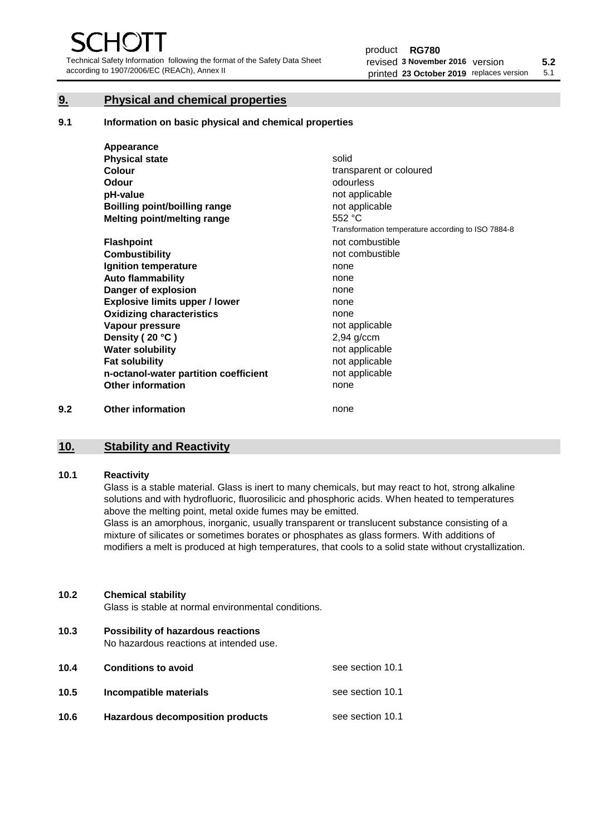Technical Safety Information following the format of the Safety Data Sheet according to 1907/2006/EC (REACh), Annex II

# **9. Physical and chemical properties**

**9.1 Information on basic physical and chemical properties**

|     | Appearance                            |                                                    |
|-----|---------------------------------------|----------------------------------------------------|
|     | <b>Physical state</b>                 | solid                                              |
|     | Colour                                | transparent or coloured                            |
|     | <b>Odour</b>                          | odourless                                          |
|     | pH-value                              | not applicable                                     |
|     | Boilling point/boilling range         | not applicable                                     |
|     | Melting point/melting range           | 552 °C                                             |
|     |                                       | Transformation temperature according to ISO 7884-8 |
|     | <b>Flashpoint</b>                     | not combustible                                    |
|     | <b>Combustibility</b>                 | not combustible                                    |
|     | Ignition temperature                  | none                                               |
|     | <b>Auto flammability</b>              | none                                               |
|     | Danger of explosion                   | none                                               |
|     | <b>Explosive limits upper / lower</b> | none                                               |
|     | <b>Oxidizing characteristics</b>      | none                                               |
|     | Vapour pressure                       | not applicable                                     |
|     | Density (20 °C)                       | $2,94$ g/ccm                                       |
|     | <b>Water solubility</b>               | not applicable                                     |
|     | <b>Fat solubility</b>                 | not applicable                                     |
|     | n-octanol-water partition coefficient | not applicable                                     |
|     | <b>Other information</b>              | none                                               |
| 9.2 | <b>Other information</b>              | none                                               |

# **10. Stability and Reactivity**

#### **10.1 Reactivity**

Glass is a stable material. Glass is inert to many chemicals, but may react to hot, strong alkaline solutions and with hydrofluoric, fluorosilicic and phosphoric acids. When heated to temperatures above the melting point, metal oxide fumes may be emitted.

Glass is an amorphous, inorganic, usually transparent or translucent substance consisting of a mixture of silicates or sometimes borates or phosphates as glass formers. With additions of modifiers a melt is produced at high temperatures, that cools to a solid state without crystallization.

#### **10.2 Chemical stability**

Glass is stable at normal environmental conditions.

**10.3 Possibility of hazardous reactions** 

No hazardous reactions at intended use.

| 10.4 | <b>Conditions to avoid</b>       | see section 10.1 |
|------|----------------------------------|------------------|
| 10.5 | Incompatible materials           | see section 10.1 |
| 10.6 | Hazardous decomposition products | see section 10.1 |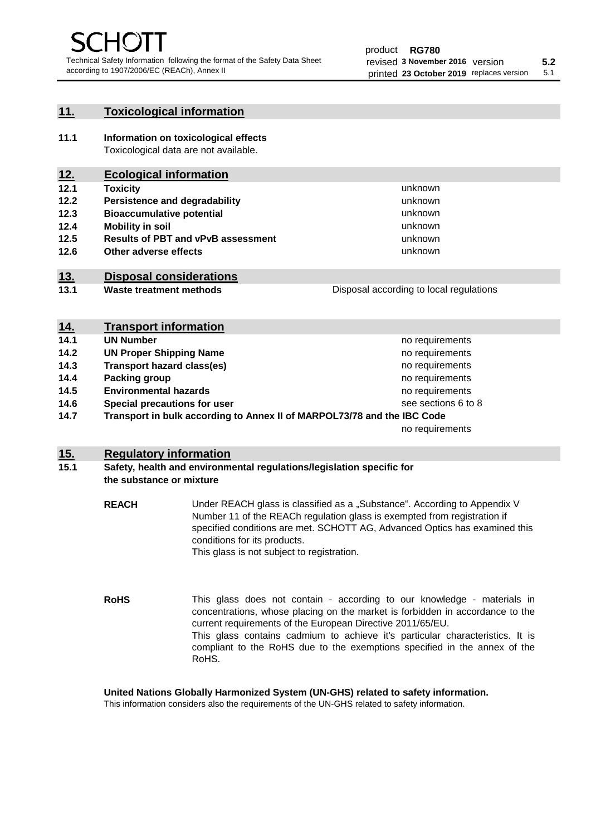unknown unknown unknown

unknown unknown unknown

Disposal according to local regulations

# **11. Toxicological information**

**11.1 Information on toxicological effects** Toxicological data are not available.

# **12. Ecological information**

- **12.1 Toxicity**
- **12.2 Persistence and degradability**
- **12.3 Bioaccumulative potential**
- **12.4 Mobility in soil**
- **12.5 Results of PBT and vPvB assessment**
- **12.6 Other adverse effects**

# **13. Disposal considerations**

**13.1 Waste treatment methods**

| <u>14.</u> | <b>Transport information</b>                                            |                     |
|------------|-------------------------------------------------------------------------|---------------------|
| 14.1       | <b>UN Number</b>                                                        | no requirements     |
| 14.2       | <b>UN Proper Shipping Name</b>                                          | no requirements     |
| 14.3       | <b>Transport hazard class(es)</b>                                       | no requirements     |
| 14.4       | Packing group                                                           | no requirements     |
| 14.5       | <b>Environmental hazards</b>                                            | no requirements     |
| 14.6       | Special precautions for user                                            | see sections 6 to 8 |
| 14.7       | Transport in bulk according to Annex II of MARPOL73/78 and the IBC Code |                     |
|            |                                                                         | no requirements     |

## **15. Regulatory information**

## **15.1 Safety, health and environmental regulations/legislation specific for the substance or mixture**

- **REACH** Under REACH glass is classified as a "Substance". According to Appendix V Number 11 of the REACh regulation glass is exempted from registration if specified conditions are met. SCHOTT AG, Advanced Optics has examined this conditions for its products. This glass is not subject to registration.
- **RoHS** This glass does not contain - according to our knowledge - materials in concentrations, whose placing on the market is forbidden in accordance to the current requirements of the European Directive 2011/65/EU. This glass contains cadmium to achieve it's particular characteristics. It is compliant to the RoHS due to the exemptions specified in the annex of the RoHS.

**United Nations Globally Harmonized System (UN-GHS) related to safety information.**

This information considers also the requirements of the UN-GHS related to safety information.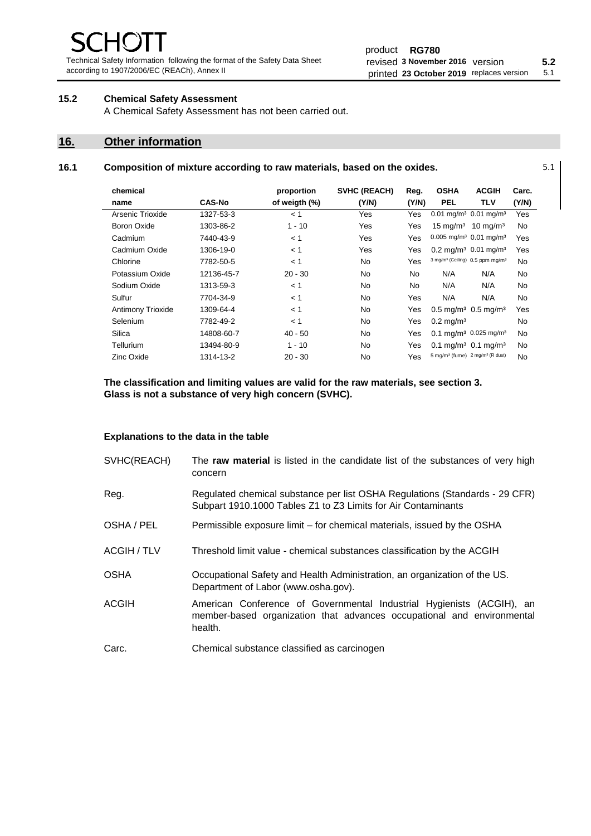Technical Safety Information following the format of the Safety Data Sheet according to 1907/2006/EC (REACh), Annex II

# **15.2 Chemical Safety Assessment**

A Chemical Safety Assessment has not been carried out.

# **16. Other information**

#### **16.1 Composition of mixture according to raw materials, based on the oxides.** 5.1

| chemical           |               | proportion    | <b>SVHC (REACH)</b> | Reg.      | <b>OSHA</b>                                             | <b>ACGIH</b>                                 | Carc. |
|--------------------|---------------|---------------|---------------------|-----------|---------------------------------------------------------|----------------------------------------------|-------|
| name               | <b>CAS-No</b> | of weigth (%) | (Y/N)               | (Y/N)     | <b>PEL</b>                                              | TLV                                          | (Y/N) |
| Arsenic Trioxide   | 1327-53-3     | < 1           | Yes                 | Yes       | 0.01 mg/m <sup>3</sup> 0.01 mg/m <sup>3</sup>           |                                              | Yes   |
| <b>Boron Oxide</b> | 1303-86-2     | $1 - 10$      | Yes                 | Yes       |                                                         | 15 mg/m <sup>3</sup> 10 mg/m <sup>3</sup>    | No.   |
| Cadmium            | 7440-43-9     | < 1           | Yes                 | Yes       | $0.005$ mg/m <sup>3</sup> $0.01$ mg/m <sup>3</sup>      |                                              | Yes   |
| Cadmium Oxide      | 1306-19-0     | < 1           | Yes                 | Yes       | $0.2 \text{ ma/m}^3$ 0.01 mg/m <sup>3</sup>             |                                              | Yes   |
| Chlorine           | 7782-50-5     | < 1           | <b>No</b>           | Yes       | 3 mg/m <sup>3</sup> (Ceiling) 0.5 ppm mg/m <sup>3</sup> |                                              | No.   |
| Potassium Oxide    | 12136-45-7    | $20 - 30$     | <b>No</b>           | <b>No</b> | N/A                                                     | N/A                                          | No.   |
| Sodium Oxide       | 1313-59-3     | < 1           | No                  | <b>No</b> | N/A                                                     | N/A                                          | No.   |
| Sulfur             | 7704-34-9     | < 1           | <b>No</b>           | Yes       | N/A                                                     | N/A                                          | No.   |
| Antimony Trioxide  | 1309-64-4     | < 1           | No                  | Yes       | $0.5 \text{ mg/m}^3$ 0.5 mg/m <sup>3</sup>              |                                              | Yes   |
| Selenium           | 7782-49-2     | < 1           | <b>No</b>           | Yes       | $0.2 \,\mathrm{mg/m^3}$                                 |                                              | No.   |
| Silica             | 14808-60-7    | $40 - 50$     | No                  | Yes       |                                                         | $0.1 \text{ mg/m}^3$ 0.025 mg/m <sup>3</sup> | No.   |
| Tellurium          | 13494-80-9    | $1 - 10$      | <b>No</b>           | Yes       | $0.1 \text{ mq/m}^3$ 0.1 mg/m <sup>3</sup>              |                                              | No.   |
| Zinc Oxide         | 1314-13-2     | $20 - 30$     | No                  | Yes       | 5 mg/m <sup>3</sup> (fume) 2 mg/m <sup>3</sup> (R dust) |                                              | No.   |

**The classification and limiting values are valid for the raw materials, see section 3. Glass is not a substance of very high concern (SVHC).**

#### **Explanations to the data in the table**

| SVHC(REACH)        | The raw material is listed in the candidate list of the substances of very high<br>concern                                                                 |
|--------------------|------------------------------------------------------------------------------------------------------------------------------------------------------------|
| Reg.               | Regulated chemical substance per list OSHA Regulations (Standards - 29 CFR)<br>Subpart 1910.1000 Tables Z1 to Z3 Limits for Air Contaminants               |
| OSHA / PEL         | Permissible exposure limit – for chemical materials, issued by the OSHA                                                                                    |
| <b>ACGIH / TLV</b> | Threshold limit value - chemical substances classification by the ACGIH                                                                                    |
| <b>OSHA</b>        | Occupational Safety and Health Administration, an organization of the US.<br>Department of Labor (www.osha.gov).                                           |
| <b>ACGIH</b>       | American Conference of Governmental Industrial Hygienists (ACGIH), an<br>member-based organization that advances occupational and environmental<br>health. |
| Carc.              | Chemical substance classified as carcinogen                                                                                                                |